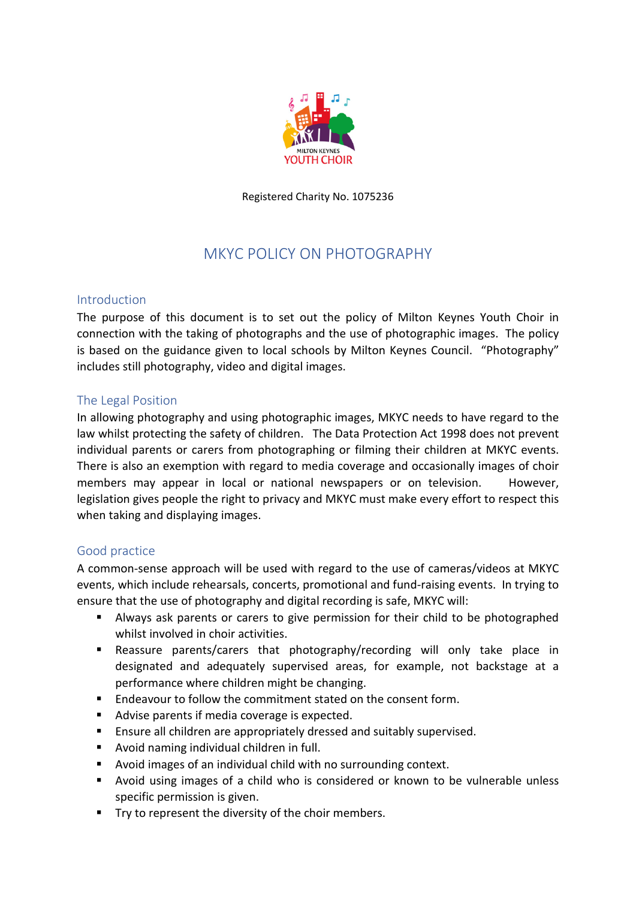

Registered Charity No. 1075236

# MKYC POLICY ON PHOTOGRAPHY

#### Introduction

The purpose of this document is to set out the policy of Milton Keynes Youth Choir in connection with the taking of photographs and the use of photographic images. The policy is based on the guidance given to local schools by Milton Keynes Council. "Photography" includes still photography, video and digital images.

# The Legal Position

In allowing photography and using photographic images, MKYC needs to have regard to the law whilst protecting the safety of children. The Data Protection Act 1998 does not prevent individual parents or carers from photographing or filming their children at MKYC events. There is also an exemption with regard to media coverage and occasionally images of choir members may appear in local or national newspapers or on television. However, legislation gives people the right to privacy and MKYC must make every effort to respect this when taking and displaying images.

# Good practice

A common-sense approach will be used with regard to the use of cameras/videos at MKYC events, which include rehearsals, concerts, promotional and fund-raising events. In trying to ensure that the use of photography and digital recording is safe, MKYC will:

- Always ask parents or carers to give permission for their child to be photographed whilst involved in choir activities.
- Reassure parents/carers that photography/recording will only take place in designated and adequately supervised areas, for example, not backstage at a performance where children might be changing.
- **Endeavour to follow the commitment stated on the consent form.**
- Advise parents if media coverage is expected.
- **Ensure all children are appropriately dressed and suitably supervised.**
- Avoid naming individual children in full.
- Avoid images of an individual child with no surrounding context.
- Avoid using images of a child who is considered or known to be vulnerable unless specific permission is given.
- Try to represent the diversity of the choir members.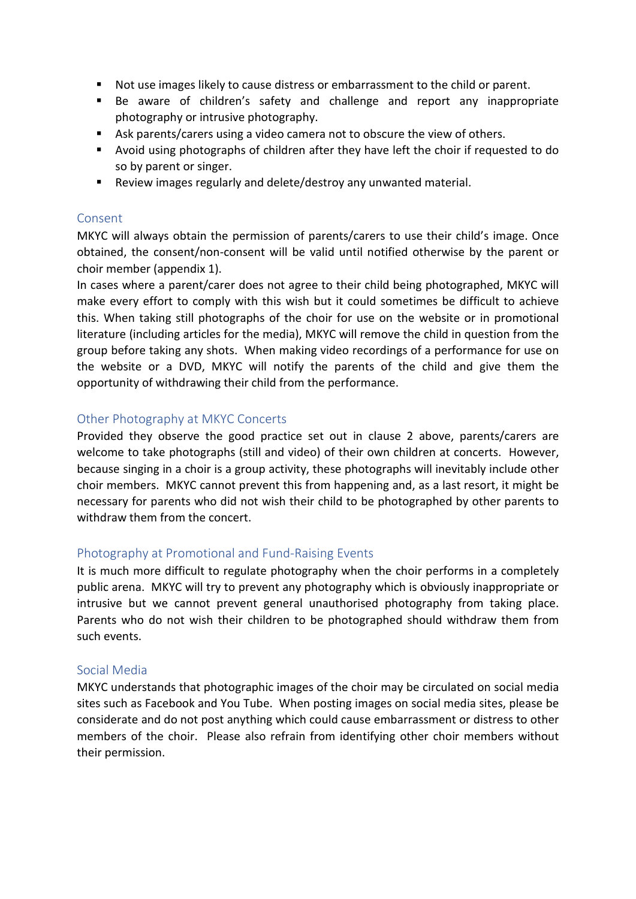- Not use images likely to cause distress or embarrassment to the child or parent.
- Be aware of children's safety and challenge and report any inappropriate photography or intrusive photography.
- Ask parents/carers using a video camera not to obscure the view of others.
- Avoid using photographs of children after they have left the choir if requested to do so by parent or singer.
- Review images regularly and delete/destroy any unwanted material.

# Consent

MKYC will always obtain the permission of parents/carers to use their child's image. Once obtained, the consent/non-consent will be valid until notified otherwise by the parent or choir member (appendix 1).

In cases where a parent/carer does not agree to their child being photographed, MKYC will make every effort to comply with this wish but it could sometimes be difficult to achieve this. When taking still photographs of the choir for use on the website or in promotional literature (including articles for the media), MKYC will remove the child in question from the group before taking any shots. When making video recordings of a performance for use on the website or a DVD, MKYC will notify the parents of the child and give them the opportunity of withdrawing their child from the performance.

# Other Photography at MKYC Concerts

Provided they observe the good practice set out in clause 2 above, parents/carers are welcome to take photographs (still and video) of their own children at concerts. However, because singing in a choir is a group activity, these photographs will inevitably include other choir members. MKYC cannot prevent this from happening and, as a last resort, it might be necessary for parents who did not wish their child to be photographed by other parents to withdraw them from the concert.

# Photography at Promotional and Fund-Raising Events

It is much more difficult to regulate photography when the choir performs in a completely public arena. MKYC will try to prevent any photography which is obviously inappropriate or intrusive but we cannot prevent general unauthorised photography from taking place. Parents who do not wish their children to be photographed should withdraw them from such events.

# Social Media

MKYC understands that photographic images of the choir may be circulated on social media sites such as Facebook and You Tube. When posting images on social media sites, please be considerate and do not post anything which could cause embarrassment or distress to other members of the choir. Please also refrain from identifying other choir members without their permission.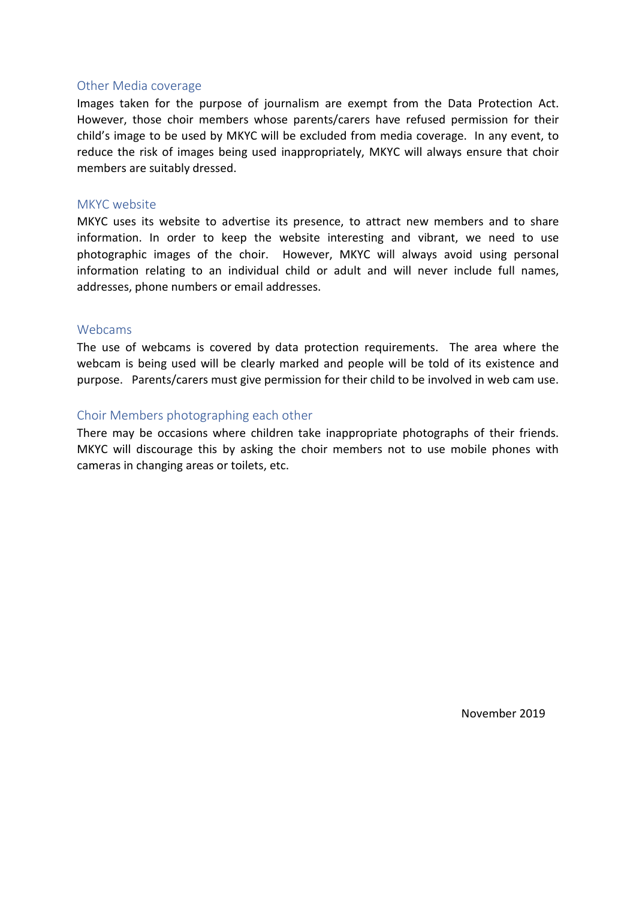#### Other Media coverage

Images taken for the purpose of journalism are exempt from the Data Protection Act. However, those choir members whose parents/carers have refused permission for their child's image to be used by MKYC will be excluded from media coverage. In any event, to reduce the risk of images being used inappropriately, MKYC will always ensure that choir members are suitably dressed.

#### MKYC website

MKYC uses its website to advertise its presence, to attract new members and to share information. In order to keep the website interesting and vibrant, we need to use photographic images of the choir. However, MKYC will always avoid using personal information relating to an individual child or adult and will never include full names, addresses, phone numbers or email addresses.

#### Webcams

The use of webcams is covered by data protection requirements. The area where the webcam is being used will be clearly marked and people will be told of its existence and purpose. Parents/carers must give permission for their child to be involved in web cam use.

#### Choir Members photographing each other

There may be occasions where children take inappropriate photographs of their friends. MKYC will discourage this by asking the choir members not to use mobile phones with cameras in changing areas or toilets, etc.

November 2019